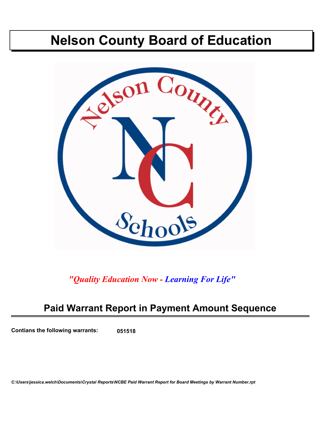# **Nelson County Board of Education**



*"Quality Education Now - Learning For Life"*

## **Paid Warrant Report in Payment Amount Sequence**

**Contians the following warrants: 051518**

*C:\Users\jessica.welch\Documents\Crystal Reports\NCBE Paid Warrant Report for Board Meetings by Warrant Number.rpt*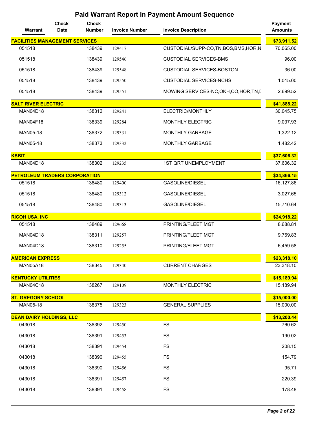| Warrant                                   | <b>Check</b><br><b>Date</b> | <b>Check</b><br><b>Number</b> | <b>Invoice Number</b> | <b>Invoice Description</b>              | <b>Payment</b><br><b>Amounts</b> |
|-------------------------------------------|-----------------------------|-------------------------------|-----------------------|-----------------------------------------|----------------------------------|
| <b>FACILITIES MANAGEMENT SERVICES</b>     |                             |                               |                       |                                         | \$73,911.52                      |
| 051518                                    |                             | 138439                        | 129417                | CUSTODIAL/SUPP-CO,TN,BOS,BMS,HOR,N      | 70,065.00                        |
| 051518                                    |                             | 138439                        | 129546                | <b>CUSTODIAL SERVICES-BMS</b>           | 96.00                            |
| 051518                                    |                             | 138439                        | 129548                | <b>CUSTODIAL SERVICES-BOSTON</b>        | 36.00                            |
| 051518                                    |                             | 138439                        | 129550                | <b>CUSTODIAL SERVICES-NCHS</b>          | 1,015.00                         |
| 051518                                    |                             | 138439                        | 129551                | MOWING SERVICES-NC, OKH, CO, HOR, TN, I | 2,699.52                         |
| <b>SALT RIVER ELECTRIC</b>                |                             |                               |                       |                                         | \$41,888.22                      |
| <b>MAN04D18</b>                           |                             | 138312                        | 129241                | ELECTRIC/MONTHLY                        | 30,045.75                        |
| <b>MAN04F18</b>                           |                             | 138339                        | 129284                | MONTHLY ELECTRIC                        | 9,037.93                         |
| MAN05-18                                  |                             | 138372                        | 129331                | <b>MONTHLY GARBAGE</b>                  | 1,322.12                         |
| MAN05-18                                  |                             | 138373                        | 129332                | MONTHLY GARBAGE                         | 1,482.42                         |
| <b>KSBIT</b>                              |                             |                               |                       |                                         | \$37,606.32                      |
| <b>MAN04D18</b>                           |                             | 138302                        | 129235                | <b>1ST QRT UNEMPLOYMENT</b>             | 37,606.32                        |
| <b>PETROLEUM TRADERS CORPORATION</b>      |                             |                               |                       |                                         | \$34,866.15                      |
| 051518                                    |                             | 138480                        | 129400                | <b>GASOLINE/DIESEL</b>                  | 16,127.86                        |
| 051518                                    |                             | 138480                        | 129312                | <b>GASOLINE/DIESEL</b>                  | 3,027.65                         |
| 051518                                    |                             | 138480                        | 129313                | <b>GASOLINE/DIESEL</b>                  | 15,710.64                        |
| <b>RICOH USA, INC</b>                     |                             |                               |                       |                                         | \$24,918.22                      |
| 051518                                    |                             | 138489                        | 129668                | PRINTING/FLEET MGT                      | 8,688.81                         |
| <b>MAN04D18</b>                           |                             | 138311                        | 129257                | PRINTING/FLEET MGT                      | 9,769.83                         |
| <b>MAN04D18</b>                           |                             | 138310                        | 129255                | PRINTING/FLEET MGT                      | 6,459.58                         |
| <b>AMERICAN EXPRESS</b>                   |                             |                               |                       |                                         | \$23,318.10                      |
| <b>MAN05A18</b>                           |                             | 138345                        | 129340                | <b>CURRENT CHARGES</b>                  | 23,318.10                        |
| <b>KENTUCKY UTILITIES</b>                 |                             |                               |                       |                                         | \$15,189.94                      |
| <b>MAN04C18</b>                           |                             | 138267                        | 129109                | MONTHLY ELECTRIC                        | 15,189.94                        |
| <b>ST. GREGORY SCHOOL</b>                 |                             |                               |                       |                                         | \$15,000.00                      |
| MAN05-18                                  |                             | 138375                        | 129323                | <b>GENERAL SUPPLIES</b>                 | 15,000.00                        |
| <b>DEAN DAIRY HOLDINGS, LLC</b><br>043018 |                             | 138392                        | 129450                | <b>FS</b>                               | \$13,200.44<br>760.62            |
|                                           |                             |                               |                       |                                         |                                  |
| 043018                                    |                             | 138391                        | 129453                | <b>FS</b>                               | 190.02                           |
| 043018                                    |                             | 138391                        | 129454                | <b>FS</b>                               | 208.15                           |
| 043018                                    |                             | 138390                        | 129455                | <b>FS</b>                               | 154.79                           |
| 043018                                    |                             | 138390                        | 129456                | <b>FS</b>                               | 95.71                            |
| 043018                                    |                             | 138391                        | 129457                | <b>FS</b>                               | 220.39                           |
| 043018                                    |                             | 138391                        | 129458                | <b>FS</b>                               | 178.48                           |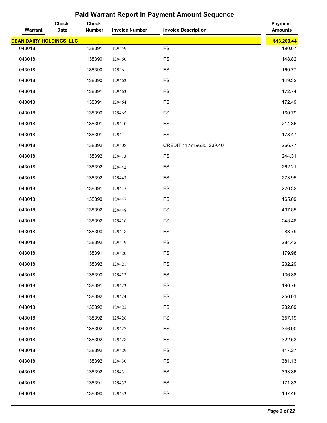| Warrant                         | <b>Check</b><br><b>Date</b> | <b>Check</b><br><b>Number</b> | <b>Invoice Number</b> | <b>Invoice Description</b> | <b>Payment</b><br><b>Amounts</b> |
|---------------------------------|-----------------------------|-------------------------------|-----------------------|----------------------------|----------------------------------|
| <b>DEAN DAIRY HOLDINGS, LLC</b> |                             |                               |                       |                            | \$13,200.44                      |
| 043018                          |                             | 138391                        | 129459                | <b>FS</b>                  | 190.67                           |
| 043018                          |                             | 138390                        | 129460                | FS                         | 148.82                           |
| 043018                          |                             | 138390                        | 129461                | <b>FS</b>                  | 160.77                           |
| 043018                          |                             | 138390                        | 129462                | FS                         | 149.32                           |
| 043018                          |                             | 138391                        | 129463                | <b>FS</b>                  | 172.74                           |
| 043018                          |                             | 138391                        | 129464                | <b>FS</b>                  | 172.49                           |
| 043018                          |                             | 138390                        | 129465                | FS                         | 160.79                           |
| 043018                          |                             | 138391                        | 129410                | <b>FS</b>                  | 214.36                           |
| 043018                          |                             | 138391                        | 129411                | <b>FS</b>                  | 178.47                           |
| 043018                          |                             | 138392                        | 129408                | CREDIT 117719635 239.40    | 266.77                           |
| 043018                          |                             | 138392                        | 129413                | FS                         | 244.31                           |
| 043018                          |                             | 138392                        | 129442                | <b>FS</b>                  | 262.21                           |
| 043018                          |                             | 138392                        | 129443                | <b>FS</b>                  | 273.95                           |
| 043018                          |                             | 138391                        | 129445                | <b>FS</b>                  | 226.32                           |
| 043018                          |                             | 138390                        | 129447                | <b>FS</b>                  | 165.09                           |
| 043018                          |                             | 138392                        | 129448                | <b>FS</b>                  | 497.85                           |
| 043018                          |                             | 138392                        | 129416                | <b>FS</b>                  | 248.46                           |
| 043018                          |                             | 138390                        | 129418                | <b>FS</b>                  | 83.79                            |
| 043018                          |                             | 138392                        | 129419                | <b>FS</b>                  | 284.42                           |
| 043018                          |                             | 138391                        | 129420                | FS                         | 179.98                           |
| 043018                          |                             | 138392                        | 129421                | FS                         | 232.29                           |
| 043018                          |                             | 138390                        | 129422                | <b>FS</b>                  | 136.88                           |
| 043018                          |                             | 138391                        | 129423                | <b>FS</b>                  | 190.76                           |
| 043018                          |                             | 138392                        | 129424                | <b>FS</b>                  | 256.01                           |
| 043018                          |                             | 138392                        | 129425                | <b>FS</b>                  | 232.09                           |
| 043018                          |                             | 138392                        | 129426                | <b>FS</b>                  | 357.19                           |
| 043018                          |                             | 138392                        | 129427                | <b>FS</b>                  | 346.00                           |
| 043018                          |                             | 138392                        | 129428                | <b>FS</b>                  | 322.53                           |
| 043018                          |                             | 138392                        | 129429                | <b>FS</b>                  | 417.27                           |
| 043018                          |                             | 138392                        | 129430                | <b>FS</b>                  | 381.13                           |
| 043018                          |                             | 138392                        | 129431                | <b>FS</b>                  | 393.86                           |
| 043018                          |                             | 138391                        | 129432                | <b>FS</b>                  | 171.83                           |
| 043018                          |                             | 138390                        | 129433                | <b>FS</b>                  | 137.46                           |
|                                 |                             |                               |                       |                            |                                  |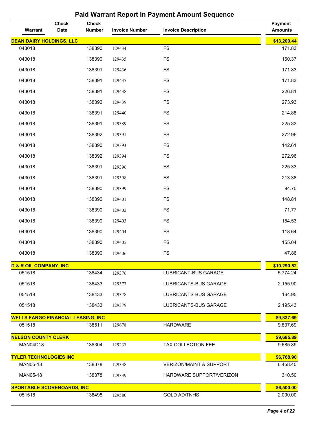| Warrant                                   | <b>Check</b><br>Date | <b>Check</b><br><b>Number</b> | <b>Invoice Number</b> | <b>Invoice Description</b>         | <b>Payment</b><br><b>Amounts</b> |
|-------------------------------------------|----------------------|-------------------------------|-----------------------|------------------------------------|----------------------------------|
| <b>DEAN DAIRY HOLDINGS, LLC</b>           |                      |                               |                       |                                    | \$13,200.44                      |
| 043018                                    |                      | 138390                        | 129434                | <b>FS</b>                          | 171.83                           |
| 043018                                    |                      | 138390                        | 129435                | <b>FS</b>                          | 160.37                           |
| 043018                                    |                      | 138391                        | 129436                | <b>FS</b>                          | 171.83                           |
| 043018                                    |                      | 138391                        | 129437                | <b>FS</b>                          | 171.83                           |
| 043018                                    |                      | 138391                        | 129438                | <b>FS</b>                          | 226.81                           |
| 043018                                    |                      | 138392                        | 129439                | <b>FS</b>                          | 273.93                           |
| 043018                                    |                      | 138391                        | 129440                | <b>FS</b>                          | 214.88                           |
| 043018                                    |                      | 138391                        | 129389                | <b>FS</b>                          | 225.33                           |
| 043018                                    |                      | 138392                        | 129391                | <b>FS</b>                          | 272.96                           |
| 043018                                    |                      | 138390                        | 129393                | <b>FS</b>                          | 142.61                           |
| 043018                                    |                      | 138392                        | 129394                | <b>FS</b>                          | 272.96                           |
| 043018                                    |                      | 138391                        | 129396                | <b>FS</b>                          | 225.33                           |
| 043018                                    |                      | 138391                        | 129398                | <b>FS</b>                          | 213.38                           |
| 043018                                    |                      | 138390                        | 129399                | <b>FS</b>                          | 94.70                            |
| 043018                                    |                      | 138390                        | 129401                | <b>FS</b>                          | 148.81                           |
| 043018                                    |                      | 138390                        | 129402                | <b>FS</b>                          | 71.77                            |
| 043018                                    |                      | 138390                        | 129403                | <b>FS</b>                          | 154.53                           |
| 043018                                    |                      | 138390                        | 129404                | <b>FS</b>                          | 118.64                           |
| 043018                                    |                      | 138390                        | 129405                | <b>FS</b>                          | 155.04                           |
| 043018                                    |                      | 138390                        | 129406                | <b>FS</b>                          | 47.86                            |
| <b>D &amp; R OIL COMPANY, INC</b>         |                      |                               |                       |                                    | \$10,290.52                      |
| 051518                                    |                      | 138434                        | 129376                | LUBRICANT-BUS GARAGE               | 5,774.24                         |
| 051518                                    |                      | 138433                        | 129377                | LUBRICANTS-BUS GARAGE              | 2,155.90                         |
| 051518                                    |                      | 138433                        | 129378                | LUBRICANTS-BUS GARAGE              | 164.95                           |
| 051518                                    |                      | 138433                        | 129379                | LUBRICANTS-BUS GARAGE              | 2,195.43                         |
| <b>WELLS FARGO FINANCIAL LEASING, INC</b> |                      |                               |                       |                                    | \$9,837.69                       |
| 051518                                    |                      | 138511                        | 129678                | <b>HARDWARE</b>                    | 9,837.69                         |
| <b>NELSON COUNTY CLERK</b>                |                      |                               |                       |                                    | \$9,685.89                       |
| <b>MAN04D18</b>                           |                      | 138304                        | 129237                | TAX COLLECTION FEE                 | 9,685.89                         |
| <b>TYLER TECHNOLOGIES INC</b>             |                      |                               |                       |                                    | \$6,768.90                       |
| MAN05-18                                  |                      | 138378                        | 129338                | <b>VERIZON/MAINT &amp; SUPPORT</b> | 6,458.40                         |
| MAN05-18                                  |                      | 138378                        | 129339                | HARDWARE SUPPORT/VERIZON           | 310.50                           |
| <b>SPORTABLE SCOREBOARDS, INC</b>         |                      |                               |                       |                                    | \$6,500.00                       |
| 051518                                    |                      | 138498                        | 129580                | <b>GOLD AD/TNHS</b>                | 2,000.00                         |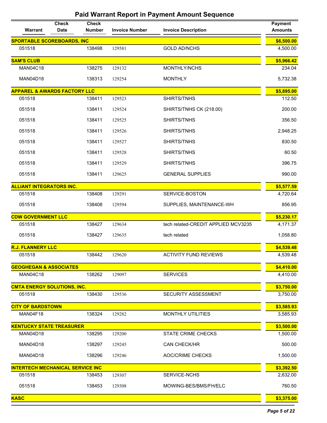| Warrant                                 | <b>Check</b><br><b>Date</b> | <b>Check</b><br><b>Number</b> | <b>Invoice Number</b> | <b>Invoice Description</b>          | <b>Payment</b><br><b>Amounts</b> |
|-----------------------------------------|-----------------------------|-------------------------------|-----------------------|-------------------------------------|----------------------------------|
| <b>SPORTABLE SCOREBOARDS, INC</b>       |                             |                               |                       |                                     | \$6,500.00                       |
| 051518                                  |                             | 138498                        | 129581                | <b>GOLD AD/NCHS</b>                 | 4,500.00                         |
| <b>SAM'S CLUB</b>                       |                             |                               |                       |                                     | \$5,966.42                       |
| <b>MAN04C18</b>                         |                             | 138275                        | 129132                | MONTHLY/NCHS                        | 234.04                           |
| MAN04D18                                |                             | 138313                        | 129254                | <b>MONTHLY</b>                      | 5,732.38                         |
| <b>APPAREL &amp; AWARDS FACTORY LLC</b> |                             |                               |                       |                                     | \$5,895.00                       |
| 051518                                  |                             | 138411                        | 129523                | SHIRTS/TNHS                         | 112.50                           |
| 051518                                  |                             | 138411                        | 129524                | SHIRTS/TNHS CK (218.00)             | 200.00                           |
| 051518                                  |                             | 138411                        | 129525                | SHIRTS/TNHS                         | 356.50                           |
| 051518                                  |                             | 138411                        | 129526                | SHIRTS/TNHS                         | 2,948.25                         |
| 051518                                  |                             | 138411                        | 129527                | SHIRTS/TNHS                         | 830.50                           |
| 051518                                  |                             | 138411                        | 129528                | SHIRTS/TNHS                         | 60.50                            |
| 051518                                  |                             | 138411                        | 129529                | SHIRTS/TNHS                         | 396.75                           |
| 051518                                  |                             | 138411                        | 129625                | <b>GENERAL SUPPLIES</b>             | 990.00                           |
| <b>ALLIANT INTEGRATORS INC.</b>         |                             |                               |                       |                                     | \$5,577.59                       |
| 051518                                  |                             | 138408                        | 129291                | SERVICE-BOSTON                      | 4,720.64                         |
| 051518                                  |                             | 138408                        | 129594                | SUPPLIES, MAINTENANCE-WH            | 856.95                           |
| <b>CDW GOVERNMENT LLC</b>               |                             |                               |                       |                                     | \$5,230.17                       |
| 051518                                  |                             | 138427                        | 129634                | tech related-CREDIT APPLIED MCV3235 | 4,171.37                         |
| 051518                                  |                             | 138427                        | 129635                | tech related                        | 1,058.80                         |
| <b>R.J. FLANNERY LLC</b>                |                             |                               |                       |                                     | \$4,539.48                       |
| 051518                                  |                             | 138442                        | 129620                | <b>ACTIVITY FUND REVIEWS</b>        | 4,539.48                         |
| <b>GEOGHEGAN &amp; ASSOCIATES</b>       |                             |                               |                       |                                     | \$4,410.00                       |
| <b>MAN04C18</b>                         |                             | 138262                        | 129097                | <b>SERVICES</b>                     | 4,410.00                         |
| <b>CMTA ENERGY SOLUTIONS, INC.</b>      |                             |                               |                       |                                     | \$3,750.00                       |
| 051518                                  |                             | 138430                        | 129536                | <b>SECURITY ASSESSMENT</b>          | 3,750.00                         |
| <b>CITY OF BARDSTOWN</b>                |                             |                               |                       |                                     | \$3,585.93                       |
| MAN04F18                                |                             | 138324                        | 129282                | <b>MONTHLY UTILITIES</b>            | 3,585.93                         |
| <b>KENTUCKY STATE TREASURER</b>         |                             |                               |                       |                                     | \$3,500.00                       |
| <b>MAN04D18</b>                         |                             | 138295                        | 129200                | <b>STATE CRIME CHECKS</b>           | 1,500.00                         |
| <b>MAN04D18</b>                         |                             | 138297                        | 129245                | <b>CAN CHECK/HR</b>                 | 500.00                           |
| <b>MAN04D18</b>                         |                             | 138296                        | 129246                | <b>AOC/CRIME CHECKS</b>             | 1,500.00                         |
| <b>INTERTECH MECHANICAL SERVICE INC</b> |                             |                               |                       |                                     | \$3,392.50                       |
| 051518                                  |                             | 138453                        | 129307                | <b>SERVICE-NCHS</b>                 | 2,632.00                         |
| 051518                                  |                             | 138453                        | 129308                | MOWING-BES/BMS/FH/ELC               | 760.50                           |
| <b>KASC</b>                             |                             |                               |                       |                                     | \$3,375.00                       |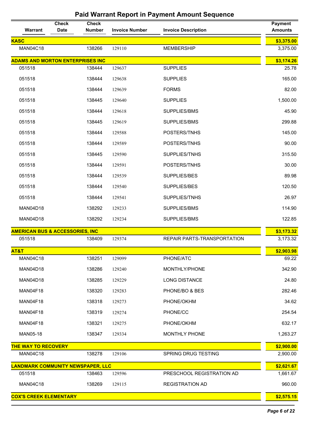| Warrant                                    | <b>Check</b><br><b>Date</b> | <b>Check</b><br><b>Number</b> | <b>Invoice Number</b> | <b>Invoice Description</b>  | <b>Payment</b><br><b>Amounts</b> |
|--------------------------------------------|-----------------------------|-------------------------------|-----------------------|-----------------------------|----------------------------------|
| <b>KASC</b>                                |                             |                               |                       |                             | \$3,375.00                       |
| <b>MAN04C18</b>                            |                             | 138266                        | 129110                | <b>MEMBERSHIP</b>           | 3,375.00                         |
| <b>ADAMS AND MORTON ENTERPRISES INC</b>    |                             |                               |                       |                             | \$3,174.26                       |
| 051518                                     |                             | 138444                        | 129637                | <b>SUPPLIES</b>             | 25.78                            |
| 051518                                     |                             | 138444                        | 129638                | <b>SUPPLIES</b>             | 165.00                           |
| 051518                                     |                             | 138444                        | 129639                | <b>FORMS</b>                | 82.00                            |
| 051518                                     |                             | 138445                        | 129640                | <b>SUPPLIES</b>             | 1,500.00                         |
| 051518                                     |                             | 138444                        | 129618                | SUPPLIES/BMS                | 45.90                            |
| 051518                                     |                             | 138445                        | 129619                | SUPPLIES/BMS                | 299.88                           |
| 051518                                     |                             | 138444                        | 129588                | POSTERS/TNHS                | 145.00                           |
| 051518                                     |                             | 138444                        | 129589                | POSTERS/TNHS                | 90.00                            |
| 051518                                     |                             | 138445                        | 129590                | SUPPLIES/TNHS               | 315.50                           |
| 051518                                     |                             | 138444                        | 129591                | POSTERS/TNHS                | 30.00                            |
| 051518                                     |                             | 138444                        | 129539                | SUPPLIES/BES                | 89.98                            |
| 051518                                     |                             | 138444                        | 129540                | SUPPLIES/BES                | 120.50                           |
| 051518                                     |                             | 138444                        | 129541                | SUPPLIES/TNHS               | 26.97                            |
| <b>MAN04D18</b>                            |                             | 138292                        | 129233                | SUPPLIES/BMS                | 114.90                           |
| <b>MAN04D18</b>                            |                             | 138292                        | 129234                | SUPPLIES/BMS                | 122.85                           |
| <b>AMERICAN BUS &amp; ACCESSORIES, INC</b> |                             |                               |                       |                             | \$3,173.32                       |
| 051518                                     |                             | 138409                        | 129374                | REPAIR PARTS-TRANSPORTATION | 3,173.32                         |
| AT&T                                       |                             |                               |                       |                             | \$2,903.98                       |
| <b>MAN04C18</b>                            |                             | 138251                        | 129099                | PHONE/ATC                   | 69.22                            |
| <b>MAN04D18</b>                            |                             | 138286                        | 129240                | MONTHLY/PHONE               | 342.90                           |
| <b>MAN04D18</b>                            |                             | 138285                        | 129229                | <b>LONG DISTANCE</b>        | 24.80                            |
| <b>MAN04F18</b>                            |                             | 138320                        | 129283                | PHONE/BO & BES              | 282.46                           |
| MAN04F18                                   |                             | 138318                        | 129273                | PHONE/OKHM                  | 34.62                            |
| <b>MAN04F18</b>                            |                             | 138319                        | 129274                | PHONE/CC                    | 254.54                           |
| MAN04F18                                   |                             | 138321                        | 129275                | PHONE/OKHM                  | 632.17                           |
| MAN05-18                                   |                             | 138347                        | 129334                | <b>MONTHLY PHONE</b>        | 1,263.27                         |
| <b>THE WAY TO RECOVERY</b>                 |                             |                               |                       |                             | \$2,900.00                       |
| <b>MAN04C18</b>                            |                             | 138278                        | 129106                | SPRING DRUG TESTING         | 2,900.00                         |
| <b>LANDMARK COMMUNITY NEWSPAPER, LLC</b>   |                             |                               |                       |                             | \$2,621.67                       |
| 051518                                     |                             | 138463                        | 129596                | PRESCHOOL REGISTRATION AD   | 1,661.67                         |
| <b>MAN04C18</b>                            |                             | 138269                        | 129115                | <b>REGISTRATION AD</b>      | 960.00                           |
| <b>COX'S CREEK ELEMENTARY</b>              |                             |                               |                       |                             | \$2,575.15                       |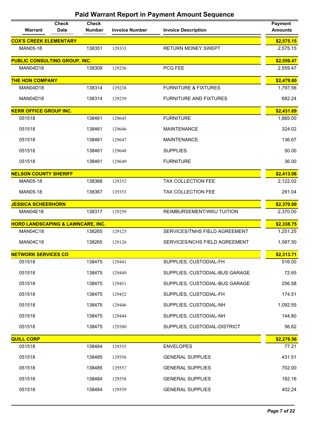| Warrant                                      | <b>Check</b><br><b>Date</b> | <b>Check</b><br><b>Number</b> | <b>Invoice Number</b> | <b>Invoice Description</b>      | <b>Payment</b><br><b>Amounts</b> |
|----------------------------------------------|-----------------------------|-------------------------------|-----------------------|---------------------------------|----------------------------------|
| <b>COX'S CREEK ELEMENTARY</b>                |                             |                               |                       |                                 | \$2,575.15                       |
| MAN05-18                                     |                             | 138351                        | 129333                | <b>RETURN MONEY SWEPT</b>       | 2,575.15                         |
| <b>PUBLIC CONSULTING GROUP, INC.</b>         |                             |                               |                       |                                 | \$2,559.47                       |
| <b>MAN04D18</b>                              |                             | 138309                        | 129236                | PCG FEE                         | 2,559.47                         |
| <b>THE HON COMPANY</b>                       |                             |                               |                       |                                 | \$2,479.80                       |
| <b>MAN04D18</b>                              |                             | 138314                        | 129238                | <b>FURNITURE &amp; FIXTURES</b> | 1,797.56                         |
| <b>MAN04D18</b>                              |                             | 138314                        | 129239                | <b>FURNITURE AND FIXTURES</b>   | 682.24                           |
| <b>KERR OFFICE GROUP INC.</b>                |                             |                               |                       |                                 | \$2,431.69                       |
| 051518                                       |                             | 138461                        | 129645                | <b>FURNITURE</b>                | 1,885.00                         |
| 051518                                       |                             | 138461                        | 129646                | <b>MAINTENANCE</b>              | 324.02                           |
| 051518                                       |                             | 138461                        | 129647                | <b>MAINTENANCE</b>              | 136.67                           |
| 051518                                       |                             | 138461                        | 129648                | <b>SUPPLIES</b>                 | 50.00                            |
| 051518                                       |                             | 138461                        | 129649                | <b>FURNITURE</b>                | 36.00                            |
| <b>NELSON COUNTY SHERIFF</b>                 |                             |                               |                       |                                 | \$2,413.06                       |
| MAN05-18                                     |                             | 138368                        | 129352                | TAX COLLECTION FEE              | 2,122.02                         |
| MAN05-18                                     |                             | 138367                        | 129353                | TAX COLLECTION FEE              | 291.04                           |
| <b>JESSICA SCHEERHORN</b>                    |                             |                               |                       |                                 | \$2,370.00                       |
| MAN04E18                                     |                             | 138317                        | 129259                | REIMBURSEMENT/WKU TUITION       | 2,370.00                         |
| <b>HORD LANDSCAPING &amp; LAWNCARE, INC.</b> |                             |                               |                       |                                 | \$2,338.75                       |
| <b>MAN04C18</b>                              |                             | 138265                        | 129125                | SERVICES/TNHS FIELD AGREEMENT   | 1,251.25                         |
| <b>MAN04C18</b>                              |                             | 138265                        | 129126                | SERVICES/NCHS FIELD AGREEMENT   | 1,087.50                         |
| <b>NETWORK SERVICES CO</b>                   |                             |                               |                       |                                 | \$2,313.71                       |
| 051518                                       |                             | 138475                        | 129441                | SUPPLIES, CUSTODIAL-FH          | 516.00                           |
| 051518                                       |                             | 138475                        | 129449                | SUPPLIES, CUSTODIAL-BUS GARAGE  | 72.65                            |
| 051518                                       |                             | 138475                        | 129451                | SUPPLIES, CUSTODIAL-BUS GARAGE  | 256.58                           |
| 051518                                       |                             | 138475                        | 129452                | SUPPLIES, CUSTODIAL-FH          | 174.51                           |
| 051518                                       |                             | 138475                        | 129446                | SUPPLIES, CUSTODIAL-NH          | 1,092.55                         |
| 051518                                       |                             | 138475                        | 129444                | SUPPLIES, CUSTODIAL-NH          | 144.80                           |
| 051518                                       |                             | 138475                        | 129380                | SUPPLIES, CUSTODIAL-DISTRICT    | 56.62                            |
| <b>QUILL CORP</b>                            |                             |                               |                       |                                 | \$2,276.56                       |
| 051518                                       |                             | 138484                        | 129555                | <b>ENVELOPES</b>                | 77.21                            |
| 051518                                       |                             | 138485                        | 129556                | <b>GENERAL SUPPLIES</b>         | 431.51                           |
| 051518                                       |                             | 138485                        | 129557                | <b>GENERAL SUPPLIES</b>         | 702.00                           |
| 051518                                       |                             | 138484                        | 129558                | <b>GENERAL SUPPLIES</b>         | 182.16                           |
| 051518                                       |                             | 138484                        | 129559                | <b>GENERAL SUPPLIES</b>         | 402.24                           |
|                                              |                             |                               |                       |                                 |                                  |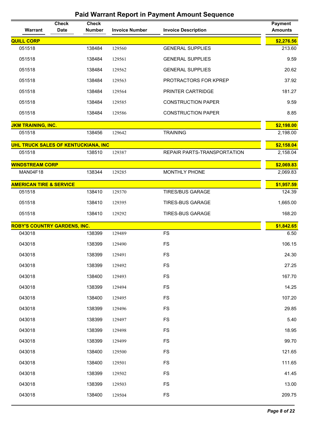| <b>Warrant</b>                      | <b>Check</b><br><b>Date</b> | <b>Check</b><br><b>Number</b> | <b>Invoice Number</b> | <b>Invoice Description</b>  | <b>Payment</b><br><b>Amounts</b> |
|-------------------------------------|-----------------------------|-------------------------------|-----------------------|-----------------------------|----------------------------------|
| <b>QUILL CORP</b>                   |                             |                               |                       |                             | \$2,276.56                       |
| 051518                              |                             | 138484                        | 129560                | <b>GENERAL SUPPLIES</b>     | 213.60                           |
| 051518                              |                             | 138484                        | 129561                | <b>GENERAL SUPPLIES</b>     | 9.59                             |
| 051518                              |                             | 138484                        | 129562                | <b>GENERAL SUPPLIES</b>     | 20.62                            |
| 051518                              |                             | 138484                        | 129563                | PROTRACTORS FOR KPREP       | 37.92                            |
| 051518                              |                             | 138484                        | 129564                | PRINTER CARTRIDGE           | 181.27                           |
| 051518                              |                             | 138484                        | 129585                | <b>CONSTRUCTION PAPER</b>   | 9.59                             |
| 051518                              |                             | 138484                        | 129586                | <b>CONSTRUCTION PAPER</b>   | 8.85                             |
| <b>JKM TRAINING, INC.</b>           |                             |                               |                       |                             | \$2,198.00                       |
| 051518                              |                             | 138456                        | 129642                | <b>TRAINING</b>             | 2,198.00                         |
| UHL TRUCK SALES OF KENTUCKIANA, INC |                             |                               |                       |                             | \$2,158.04                       |
| 051518                              |                             | 138510                        | 129387                | REPAIR PARTS-TRANSPORTATION | 2,158.04                         |
| <b>WINDSTREAM CORP</b>              |                             |                               |                       |                             | \$2,069.83                       |
| MAN04F18                            |                             | 138344                        | 129285                | MONTHLY PHONE               | 2,069.83                         |
| <b>AMERICAN TIRE &amp; SERVICE</b>  |                             |                               |                       |                             | \$1,957.59                       |
| 051518                              |                             | 138410                        | 129370                | <b>TIRES/BUS GARAGE</b>     | 124.39                           |
| 051518                              |                             | 138410                        | 129395                | <b>TIRES-BUS GARAGE</b>     | 1,665.00                         |
| 051518                              |                             | 138410                        | 129292                | <b>TIRES-BUS GARAGE</b>     | 168.20                           |
| <b>ROBY'S COUNTRY GARDENS, INC.</b> |                             |                               |                       |                             | \$1,842.65                       |
| 043018                              |                             | 138399                        | 129489                | <b>FS</b>                   | 6.50                             |
| 043018                              |                             | 138399                        | 129490                | <b>FS</b>                   | 106.15                           |
| 043018                              |                             | 138399                        | 129491                | <b>FS</b>                   | 24.30                            |
| 043018                              |                             | 138399                        | 129492                | <b>FS</b>                   | 27.25                            |
| 043018                              |                             | 138400                        | 129493                | FS                          | 167.70                           |
| 043018                              |                             | 138399                        | 129494                | <b>FS</b>                   | 14.25                            |
| 043018                              |                             | 138400                        | 129495                | <b>FS</b>                   | 107.20                           |
| 043018                              |                             | 138399                        | 129496                | <b>FS</b>                   | 29.85                            |
| 043018                              |                             | 138399                        | 129497                | <b>FS</b>                   | 5.40                             |
| 043018                              |                             | 138399                        | 129498                | <b>FS</b>                   | 18.95                            |
| 043018                              |                             | 138399                        | 129499                | <b>FS</b>                   | 99.70                            |
| 043018                              |                             | 138400                        | 129500                | <b>FS</b>                   | 121.65                           |
| 043018                              |                             | 138400                        | 129501                | <b>FS</b>                   | 111.65                           |
| 043018                              |                             | 138399                        | 129502                | <b>FS</b>                   | 41.45                            |
| 043018                              |                             | 138399                        | 129503                | <b>FS</b>                   | 13.00                            |
| 043018                              |                             | 138400                        | 129504                | FS                          | 209.75                           |
|                                     |                             |                               |                       |                             |                                  |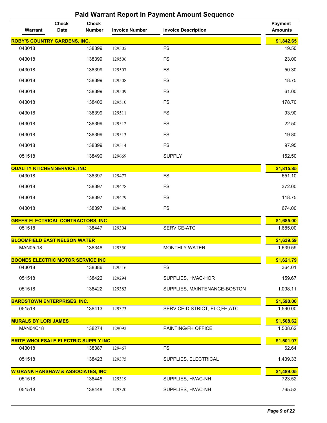| Warrant                                    | <b>Check</b><br><b>Date</b> | <b>Check</b><br><b>Number</b> | <b>Invoice Number</b> | <b>Invoice Description</b>     | <b>Payment</b><br><b>Amounts</b> |
|--------------------------------------------|-----------------------------|-------------------------------|-----------------------|--------------------------------|----------------------------------|
| <b>ROBY'S COUNTRY GARDENS, INC.</b>        |                             |                               |                       |                                | \$1,842.65                       |
| 043018                                     |                             | 138399                        | 129505                | <b>FS</b>                      | 19.50                            |
| 043018                                     |                             | 138399                        | 129506                | <b>FS</b>                      | 23.00                            |
| 043018                                     |                             | 138399                        | 129507                | <b>FS</b>                      | 50.30                            |
| 043018                                     |                             | 138399                        | 129508                | <b>FS</b>                      | 18.75                            |
| 043018                                     |                             | 138399                        | 129509                | <b>FS</b>                      | 61.00                            |
| 043018                                     |                             | 138400                        | 129510                | <b>FS</b>                      | 178.70                           |
| 043018                                     |                             | 138399                        | 129511                | <b>FS</b>                      | 93.90                            |
| 043018                                     |                             | 138399                        | 129512                | <b>FS</b>                      | 22.50                            |
| 043018                                     |                             | 138399                        | 129513                | <b>FS</b>                      | 19.80                            |
| 043018                                     |                             | 138399                        | 129514                | <b>FS</b>                      | 97.95                            |
| 051518                                     |                             | 138490                        | 129669                | <b>SUPPLY</b>                  | 152.50                           |
| <b>QUALITY KITCHEN SERVICE, INC</b>        |                             |                               |                       |                                | \$1,815.85                       |
| 043018                                     |                             | 138397                        | 129477                | <b>FS</b>                      | 651.10                           |
| 043018                                     |                             | 138397                        | 129478                | <b>FS</b>                      | 372.00                           |
| 043018                                     |                             | 138397                        | 129479                | <b>FS</b>                      | 118.75                           |
| 043018                                     |                             | 138397                        | 129480                | <b>FS</b>                      | 674.00                           |
| <b>GREER ELECTRICAL CONTRACTORS, INC</b>   |                             |                               |                       |                                | \$1,685.00                       |
| 051518                                     |                             | 138447                        | 129304                | SERVICE-ATC                    | 1,685.00                         |
| <b>BLOOMFIELD EAST NELSON WATER</b>        |                             |                               |                       |                                | \$1,639.59                       |
| MAN05-18                                   |                             | 138348                        | 129350                | <b>MONTHLY WATER</b>           | 1,639.59                         |
| <b>BOONES ELECTRIC MOTOR SERVICE INC</b>   |                             |                               |                       |                                | \$1,621.79                       |
| 043018                                     |                             | 138386                        | 129516                | <b>FS</b>                      | 364.01                           |
| 051518                                     |                             | 138422                        | 129294                | SUPPLIES, HVAC-HOR             | 159.67                           |
| 051518                                     |                             | 138422                        | 129383                | SUPPLIES, MAINTENANCE-BOSTON   | 1,098.11                         |
| <b>BARDSTOWN ENTERPRISES, INC.</b>         |                             |                               |                       |                                | \$1,590.00                       |
| 051518                                     |                             | 138413                        | 129373                | SERVICE-DISTRICT, ELC, FH, ATC | 1,590.00                         |
| <b>MURALS BY LORI JAMES</b>                |                             |                               |                       |                                | \$1,508.62                       |
| <b>MAN04C18</b>                            |                             | 138274                        | 129092                | PAINTING/FH OFFICE             | 1,508.62                         |
| <b>BRITE WHOLESALE ELECTRIC SUPPLY INC</b> |                             |                               |                       |                                | \$1,501.97                       |
| 043018                                     |                             | 138387                        | 129467                | <b>FS</b>                      | 62.64                            |
| 051518                                     |                             | 138423                        | 129375                | SUPPLIES, ELECTRICAL           | 1,439.33                         |
| W GRANK HARSHAW & ASSOCIATES, INC          |                             |                               |                       |                                | \$1,489.05                       |
| 051518                                     |                             | 138448                        | 129319                | SUPPLIES, HVAC-NH              | 723.52                           |
| 051518                                     |                             | 138448                        | 129320                | SUPPLIES, HVAC-NH              | 765.53                           |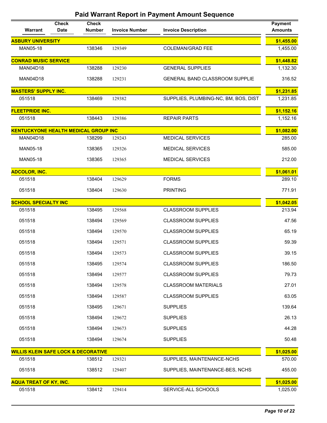| Warrant                                        | <b>Check</b><br><b>Date</b> | <b>Check</b><br><b>Number</b> | <b>Invoice Number</b> | <b>Invoice Description</b>           | <b>Payment</b><br><b>Amounts</b> |
|------------------------------------------------|-----------------------------|-------------------------------|-----------------------|--------------------------------------|----------------------------------|
| <b>ASBURY UNIVERSITY</b>                       |                             |                               |                       |                                      | \$1,455.00                       |
| MAN05-18                                       |                             | 138346                        | 129349                | <b>COLEMAN/GRAD FEE</b>              | 1,455.00                         |
| <b>CONRAD MUSIC SERVICE</b>                    |                             |                               |                       |                                      | \$1,448.82                       |
| <b>MAN04D18</b>                                |                             | 138288                        | 129230                | <b>GENERAL SUPPLIES</b>              | 1,132.30                         |
| <b>MAN04D18</b>                                |                             | 138288                        | 129231                | GENERAL BAND CLASSROOM SUPPLIE       | 316.52                           |
| <b>MASTERS' SUPPLY INC.</b>                    |                             |                               |                       |                                      | \$1,231.85                       |
| 051518                                         |                             | 138469                        | 129382                | SUPPLIES, PLUMBING-NC, BM, BOS, DIST | 1,231.85                         |
| <b>FLEETPRIDE INC.</b>                         |                             |                               |                       |                                      | \$1,152.16                       |
| 051518                                         |                             | 138443                        | 129386                | <b>REPAIR PARTS</b>                  | 1,152.16                         |
| <b>KENTUCKYONE HEALTH MEDICAL GROUP INC</b>    |                             |                               |                       |                                      | \$1,082.00                       |
| <b>MAN04D18</b>                                |                             | 138299                        | 129243                | <b>MEDICAL SERVICES</b>              | 285.00                           |
| MAN05-18                                       |                             | 138365                        | 129326                | <b>MEDICAL SERVICES</b>              | 585.00                           |
| MAN05-18                                       |                             | 138365                        | 129365                | <b>MEDICAL SERVICES</b>              | 212.00                           |
| <b>ADCOLOR, INC.</b>                           |                             |                               |                       |                                      | \$1,061.01                       |
| 051518                                         |                             | 138404                        | 129629                | <b>FORMS</b>                         | 289.10                           |
| 051518                                         |                             | 138404                        | 129630                | <b>PRINTING</b>                      | 771.91                           |
| <b>SCHOOL SPECIALTY INC</b>                    |                             |                               |                       |                                      | \$1,042.05                       |
| 051518                                         |                             | 138495                        | 129568                | <b>CLASSROOM SUPPLIES</b>            | 213.94                           |
| 051518                                         |                             | 138494                        | 129569                | <b>CLASSROOM SUPPLIES</b>            | 47.56                            |
| 051518                                         |                             | 138494                        | 129570                | <b>CLASSROOM SUPPLIES</b>            | 65.19                            |
| 051518                                         |                             | 138494                        | 129571                | <b>CLASSROOM SUPPLIES</b>            | 59.39                            |
| 051518                                         |                             | 138494                        | 129573                | <b>CLASSROOM SUPPLIES</b>            | 39.15                            |
| 051518                                         |                             | 138495                        | 129574                | <b>CLASSROOM SUPPLIES</b>            | 186.50                           |
| 051518                                         |                             | 138494                        | 129577                | <b>CLASSROOM SUPPLIES</b>            | 79.73                            |
| 051518                                         |                             | 138494                        | 129578                | <b>CLASSROOM MATERIALS</b>           | 27.01                            |
| 051518                                         |                             | 138494                        | 129587                | <b>CLASSROOM SUPPLIES</b>            | 63.05                            |
| 051518                                         |                             | 138495                        | 129671                | <b>SUPPLIES</b>                      | 139.64                           |
| 051518                                         |                             | 138494                        | 129672                | <b>SUPPLIES</b>                      | 26.13                            |
| 051518                                         |                             | 138494                        | 129673                | <b>SUPPLIES</b>                      | 44.28                            |
| 051518                                         |                             | 138494                        | 129674                | <b>SUPPLIES</b>                      | 50.48                            |
| <b>WILLIS KLEIN SAFE LOCK &amp; DECORATIVE</b> |                             |                               |                       |                                      | \$1,025.00                       |
| 051518                                         |                             | 138512                        | 129321                | SUPPLIES, MAINTENANCE-NCHS           | 570.00                           |
| 051518                                         |                             | 138512                        | 129407                | SUPPLIES, MAINTENANCE-BES, NCHS      | 455.00                           |
| <b>AQUA TREAT OF KY, INC.</b>                  |                             |                               |                       |                                      | \$1,025.00                       |
| 051518                                         |                             | 138412                        | 129414                | SERVICE-ALL SCHOOLS                  | 1,025.00                         |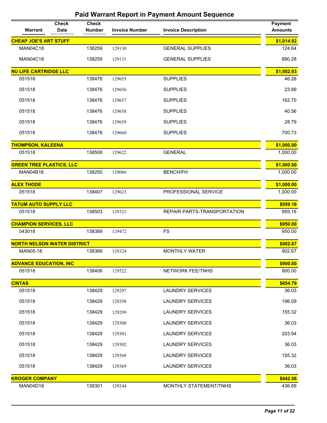| Warrant                            | <b>Check</b><br><b>Date</b> | <b>Check</b><br><b>Number</b> | <b>Invoice Number</b> | <b>Invoice Description</b>  | <b>Payment</b><br><b>Amounts</b> |
|------------------------------------|-----------------------------|-------------------------------|-----------------------|-----------------------------|----------------------------------|
| <b>CHEAP JOE'S ART STUFF</b>       |                             |                               |                       |                             | \$1,014.92                       |
| <b>MAN04C18</b>                    |                             | 138259                        | 129130                | <b>GENERAL SUPPLIES</b>     | 124.64                           |
| <b>MAN04C18</b>                    |                             | 138259                        | 129131                | <b>GENERAL SUPPLIES</b>     | 890.28                           |
| <b>NU LIFE CARTRIDGE LLC</b>       |                             |                               |                       |                             | \$1,002.93                       |
| 051518                             |                             | 138476                        | 129655                | <b>SUPPLIES</b>             | 46.26                            |
| 051518                             |                             | 138476                        | 129656                | <b>SUPPLIES</b>             | 23.89                            |
| 051518                             |                             | 138476                        | 129657                | <b>SUPPLIES</b>             | 162.70                           |
| 051518                             |                             | 138476                        | 129658                | <b>SUPPLIES</b>             | 40.56                            |
| 051518                             |                             | 138476                        | 129659                | <b>SUPPLIES</b>             | 28.79                            |
| 051518                             |                             | 138476                        | 129660                | <b>SUPPLIES</b>             | 700.73                           |
| <b>THOMPSON, KALEENA</b>           |                             |                               |                       |                             | \$1,000.00                       |
| 051518                             |                             | 138508                        | 129622                | <b>GENERAL</b>              | 1,000.00                         |
| <b>GREEN TREE PLASTICS, LLC</b>    |                             |                               |                       |                             | \$1,000.00                       |
| <b>MAN04B18</b>                    |                             | 138250                        | 129086                | <b>BENCH/FH</b>             | 1,000.00                         |
| <b>ALEX THODE</b>                  |                             |                               |                       |                             | \$1,000.00                       |
| 051518                             |                             | 138407                        | 129623                | PROFESSIONAL SERVICE        | 1,000.00                         |
| <b>TATUM AUTO SUPPLY LLC</b>       |                             |                               |                       |                             | \$959.16                         |
| 051518                             |                             | 138503                        | 129322                | REPAIR PARTS-TRANSPORTATION | 959.16                           |
| <b>CHAMPION SERVICES, LLC</b>      |                             |                               |                       |                             | \$950.00                         |
| 043018                             |                             | 138389                        | 129472                | <b>FS</b>                   | 950.00                           |
| <b>NORTH NELSON WATER DISTRICT</b> |                             |                               |                       |                             | \$902.67                         |
| MAN05-18                           |                             | 138369                        | 129324                | <b>MONTHLY WATER</b>        | 902.67                           |
| <b>ADVANCE EDUCATION, INC</b>      |                             |                               |                       |                             | \$900.00                         |
| 051518                             |                             | 138406                        | 129522                | NETWORK FEE/TNHS            | 900.00                           |
| <b>CINTAS</b>                      |                             |                               |                       |                             | \$854.79                         |
| 051518                             |                             | 138429                        | 129297                | <b>LAUNDRY SERVICES</b>     | 36.03                            |
| 051518                             |                             | 138429                        | 129298                | <b>LAUNDRY SERVICES</b>     | 196.09                           |
| 051518                             |                             | 138429                        | 129299                | <b>LAUNDRY SERVICES</b>     | 155.32                           |
| 051518                             |                             | 138429                        | 129300                | <b>LAUNDRY SERVICES</b>     | 36.03                            |
| 051518                             |                             | 138429                        | 129301                | <b>LAUNDRY SERVICES</b>     | 203.94                           |
| 051518                             |                             | 138429                        | 129302                | <b>LAUNDRY SERVICES</b>     | 36.03                            |
| 051518                             |                             | 138429                        | 129368                | <b>LAUNDRY SERVICES</b>     | 155.32                           |
| 051518                             |                             | 138429                        | 129369                | <b>LAUNDRY SERVICES</b>     | 36.03                            |
| <b>KROGER COMPANY</b>              |                             |                               |                       |                             | \$842.56                         |
| <b>MAN04D18</b>                    |                             | 138301                        | 129244                | MONTHLY STATEMENT/TNHS      | 436.69                           |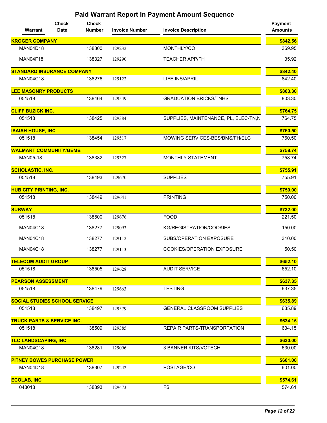| Warrant                               | <b>Check</b><br><b>Date</b> | <b>Check</b><br><b>Number</b> | <b>Invoice Number</b> | <b>Invoice Description</b>           | <b>Payment</b><br><b>Amounts</b> |
|---------------------------------------|-----------------------------|-------------------------------|-----------------------|--------------------------------------|----------------------------------|
| <b>KROGER COMPANY</b>                 |                             |                               |                       |                                      | \$842.56                         |
| <b>MAN04D18</b>                       |                             | 138300                        | 129232                | MONTHLY/CO                           | 369.95                           |
| <b>MAN04F18</b>                       |                             | 138327                        | 129290                | <b>TEACHER APP/FH</b>                | 35.92                            |
| <b>STANDARD INSURANCE COMPANY</b>     |                             |                               |                       |                                      | \$842.40                         |
| <b>MAN04C18</b>                       |                             | 138276                        | 129122                | <b>LIFE INS/APRIL</b>                | 842.40                           |
| <b>LEE MASONRY PRODUCTS</b>           |                             |                               |                       |                                      | \$803.30                         |
| 051518                                |                             | 138464                        | 129549                | <b>GRADUATION BRICKS/TNHS</b>        | 803.30                           |
| <b>CLIFF BUZICK INC.</b>              |                             |                               |                       |                                      | \$764.75                         |
| 051518                                |                             | 138425                        | 129384                | SUPPLIES, MAINTENANCE, PL, ELEC-TN,N | 764.75                           |
| <b>ISAIAH HOUSE, INC</b>              |                             |                               |                       |                                      | \$760.50                         |
| 051518                                |                             | 138454                        | 129517                | MOWING SERVICES-BES/BMS/FH/ELC       | 760.50                           |
| <b>WALMART COMMUNITY/GEMB</b>         |                             |                               |                       |                                      | \$758.74                         |
| MAN05-18                              |                             | 138382                        | 129327                | MONTHLY STATEMENT                    | 758.74                           |
| <b>SCHOLASTIC, INC.</b>               |                             |                               |                       |                                      | \$755.91                         |
| 051518                                |                             | 138493                        | 129670                | <b>SUPPLIES</b>                      | 755.91                           |
| <b>HUB CITY PRINTING, INC.</b>        |                             |                               |                       |                                      | \$750.00                         |
| 051518                                |                             | 138449                        | 129641                | <b>PRINTING</b>                      | 750.00                           |
| <b>SUBWAY</b>                         |                             |                               |                       |                                      | \$732.00                         |
| 051518                                |                             | 138500                        | 129676                | <b>FOOD</b>                          | 221.50                           |
| <b>MAN04C18</b>                       |                             | 138277                        | 129093                | KG/REGISTRATION/COOKIES              | 150.00                           |
| <b>MAN04C18</b>                       |                             | 138277                        | 129112                | SUBS/OPERATION EXPOSURE              | 310.00                           |
| <b>MAN04C18</b>                       |                             | 138277                        | 129113                | COOKIES/OPERATION EXPOSURE           | 50.50                            |
| <b>TELECOM AUDIT GROUP</b>            |                             |                               |                       |                                      | \$652.10                         |
| 051518                                |                             | 138505                        | 129628                | <b>AUDIT SERVICE</b>                 | 652.10                           |
| <b>PEARSON ASSESSMENT</b>             |                             |                               |                       |                                      | \$637.35                         |
| 051518                                |                             | 138479                        | 129663                | <b>TESTING</b>                       | 637.35                           |
| <b>SOCIAL STUDIES SCHOOL SERVICE</b>  |                             |                               |                       |                                      | \$635.89                         |
| 051518                                |                             | 138497                        | 129579                | <b>GENERAL CLASSROOM SUPPLIES</b>    | 635.89                           |
| <b>TRUCK PARTS &amp; SERVICE INC.</b> |                             |                               |                       |                                      | \$634.15                         |
| 051518                                |                             | 138509                        | 129385                | REPAIR PARTS-TRANSPORTATION          | 634.15                           |
| <b>TLC LANDSCAPING, INC</b>           |                             |                               |                       |                                      | \$630.00                         |
| <b>MAN04C18</b>                       |                             | 138281                        | 129096                | 3 BANNER KITS/VOTECH                 | 630.00                           |
| <b>PITNEY BOWES PURCHASE POWER</b>    |                             |                               |                       |                                      | \$601.00                         |
| <b>MAN04D18</b>                       |                             | 138307                        | 129242                | POSTAGE/CO                           | 601.00                           |
| <b>ECOLAB, INC</b>                    |                             |                               |                       |                                      | \$574.61                         |
| 043018                                |                             | 138393                        | 129473                | <b>FS</b>                            | 574.61                           |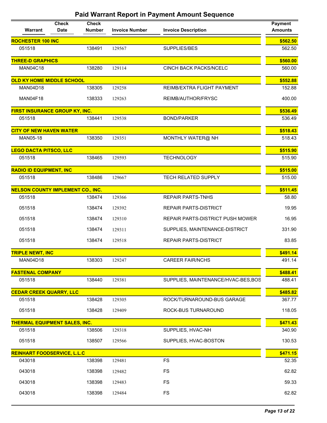| Warrant                                  | <b>Check</b><br><b>Date</b> | <b>Check</b><br><b>Number</b> | <b>Invoice Number</b> | <b>Invoice Description</b>              | <b>Payment</b><br><b>Amounts</b> |
|------------------------------------------|-----------------------------|-------------------------------|-----------------------|-----------------------------------------|----------------------------------|
| <b>ROCHESTER 100 INC</b>                 |                             |                               |                       |                                         | \$562.50                         |
| 051518                                   |                             | 138491                        | 129567                | SUPPLIES/BES                            | 562.50                           |
| <b>THREE-D GRAPHICS</b>                  |                             |                               |                       |                                         | \$560.00                         |
| <b>MAN04C18</b>                          |                             | 138280                        | 129114                | <b>CINCH BACK PACKS/NCELC</b>           | 560.00                           |
| <b>OLD KY HOME MIDDLE SCHOOL</b>         |                             |                               |                       |                                         | \$552.88                         |
| <b>MAN04D18</b>                          |                             | 138305                        | 129258                | REIMB/EXTRA FLIGHT PAYMENT              | 152.88                           |
| MAN04F18                                 |                             | 138333                        | 129263                | REIMB/AUTHOR/FRYSC                      | 400.00                           |
| <b>FIRST INSURANCE GROUP KY, INC.</b>    |                             |                               |                       |                                         | \$536.49                         |
| 051518                                   |                             | 138441                        | 129538                | <b>BOND/PARKER</b>                      | 536.49                           |
| <b>CITY OF NEW HAVEN WATER</b>           |                             |                               |                       |                                         | \$518.43                         |
| MAN05-18                                 |                             | 138350                        | 129351                | MONTHLY WATER@ NH                       | 518.43                           |
| <b>LEGO DACTA PITSCO, LLC</b>            |                             |                               |                       |                                         | \$515.90                         |
| 051518                                   |                             | 138465                        | 129593                | <b>TECHNOLOGY</b>                       | 515.90                           |
| <b>RADIO ID EQUIPMENT, INC</b>           |                             |                               |                       |                                         | \$515.00                         |
| 051518                                   |                             | 138486                        | 129667                | TECH RELATED SUPPLY                     | 515.00                           |
| <b>NELSON COUNTY IMPLEMENT CO., INC.</b> |                             |                               |                       |                                         | \$511.45                         |
| 051518                                   |                             | 138474                        | 129366                | <b>REPAIR PARTS-TNHS</b>                | 58.80                            |
| 051518                                   |                             | 138474                        | 129392                | REPAIR PARTS-DISTRICT                   | 19.95                            |
| 051518                                   |                             | 138474                        | 129310                | <b>REPAIR PARTS-DISTRICT PUSH MOWER</b> | 16.95                            |
| 051518                                   |                             | 138474                        | 129311                | SUPPLIES, MAINTENANCE-DISTRICT          | 331.90                           |
| 051518                                   |                             | 138474                        | 129518                | REPAIR PARTS-DISTRICT                   | 83.85                            |
| <b>TRIPLE NEWT, INC</b>                  |                             |                               |                       |                                         | \$491.14                         |
| MAN04D18                                 |                             | 138303                        | 129247                | <b>CAREER FAIR/NCHS</b>                 | 491.14                           |
| <b>FASTENAL COMPANY</b>                  |                             |                               |                       |                                         | \$488.41                         |
| 051518                                   |                             | 138440                        | 129381                | SUPPLIES, MAINTENANCE/HVAC-BES,BOS      | 488.41                           |
| <b>CEDAR CREEK QUARRY, LLC</b>           |                             |                               |                       |                                         | \$485.82                         |
| 051518                                   |                             | 138428                        | 129305                | ROCK/TURNAROUND-BUS GARAGE              | 367.77                           |
| 051518                                   |                             | 138428                        | 129409                | ROCK-BUS TURNAROUND                     | 118.05                           |
| <b>THERMAL EQUIPMENT SALES, INC.</b>     |                             |                               |                       |                                         | \$471.43                         |
| 051518                                   |                             | 138506                        | 129318                | SUPPLIES, HVAC-NH                       | 340.90                           |
| 051518                                   |                             | 138507                        | 129566                | SUPPLIES, HVAC-BOSTON                   | 130.53                           |
| <b>REINHART FOODSERVICE, L.L.C</b>       |                             |                               |                       |                                         | \$471.15                         |
| 043018                                   |                             | 138398                        | 129481                | <b>FS</b>                               | 52.35                            |
| 043018                                   |                             | 138398                        | 129482                | <b>FS</b>                               | 62.82                            |
| 043018                                   |                             | 138398                        | 129483                | <b>FS</b>                               | 59.33                            |
| 043018                                   |                             | 138398                        | 129484                | <b>FS</b>                               | 62.82                            |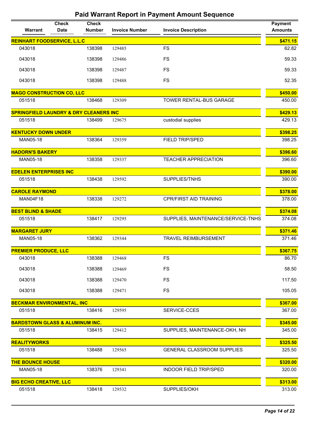| Warrant                                           | <b>Check</b><br><b>Date</b> | <b>Check</b><br><b>Number</b> | <b>Invoice Number</b> | <b>Invoice Description</b>         | <b>Payment</b><br><b>Amounts</b> |
|---------------------------------------------------|-----------------------------|-------------------------------|-----------------------|------------------------------------|----------------------------------|
| <b>REINHART FOODSERVICE, L.L.C</b>                |                             |                               |                       |                                    | \$471.15                         |
| 043018                                            |                             | 138398                        | 129485                | <b>FS</b>                          | 62.82                            |
| 043018                                            |                             | 138398                        | 129486                | <b>FS</b>                          | 59.33                            |
| 043018                                            |                             | 138398                        | 129487                | <b>FS</b>                          | 59.33                            |
| 043018                                            |                             | 138398                        | 129488                | <b>FS</b>                          | 52.35                            |
| <b>MAGO CONSTRUCTION CO, LLC</b>                  |                             |                               |                       |                                    | \$450.00                         |
| 051518                                            |                             | 138468                        | 129309                | TOWER RENTAL-BUS GARAGE            | 450.00                           |
| <b>SPRINGFIELD LAUNDRY &amp; DRY CLEANERS INC</b> |                             |                               |                       |                                    | \$429.13                         |
| 051518                                            |                             | 138499                        | 129675                | custodial supplies                 | 429.13                           |
| <b>KENTUCKY DOWN UNDER</b>                        |                             |                               |                       |                                    | \$398.25                         |
| MAN05-18                                          |                             | 138364                        | 129359                | <b>FIELD TRIP/SPED</b>             | 398.25                           |
| <b>HADORN'S BAKERY</b>                            |                             |                               |                       |                                    | \$396.60                         |
| MAN05-18                                          |                             | 138358                        | 129337                | <b>TEACHER APPRECIATION</b>        | 396.60                           |
| <b>EDELEN ENTERPRISES INC</b>                     |                             |                               |                       |                                    | \$390.00                         |
| 051518                                            |                             | 138438                        | 129592                | SUPPLIES/TNHS                      | 390.00                           |
| <b>CAROLE RAYMOND</b>                             |                             |                               |                       |                                    | \$378.00                         |
| MAN04F18                                          |                             | 138338                        | 129272                | <b>CPR/FIRST AID TRAINING</b>      | 378.00                           |
| <b>BEST BLIND &amp; SHADE</b>                     |                             |                               |                       |                                    | \$374.08                         |
| 051518                                            |                             | 138417                        | 129295                | SUPPLIES, MAINTENANCE/SERVICE-TNHS | 374.08                           |
| <b>MARGARET JURY</b>                              |                             |                               |                       |                                    | \$371.46                         |
| MAN05-18                                          |                             | 138362                        | 129344                | <b>TRAVEL REIMBURSEMENT</b>        | 371.46                           |
| <b>PREMIER PRODUCE, LLC</b>                       |                             |                               |                       |                                    | \$367.75                         |
| 043018                                            |                             | 138388                        | 129468                | <b>FS</b>                          | 86.70                            |
| 043018                                            |                             | 138388                        | 129469                | <b>FS</b>                          | 58.50                            |
| 043018                                            |                             | 138388                        | 129470                | FS                                 | 117.50                           |
| 043018                                            |                             | 138388                        | 129471                | <b>FS</b>                          | 105.05                           |
| <b>BECKMAR ENVIRONMENTAL, INC</b>                 |                             |                               |                       |                                    | \$367.00                         |
| 051518                                            |                             | 138416                        | 129595                | SERVICE-CCES                       | 367.00                           |
| <b>BARDSTOWN GLASS &amp; ALUMINUM INC.</b>        |                             |                               |                       |                                    | \$345.00                         |
| 051518                                            |                             | 138415                        | 129412                | SUPPLIES, MAINTENANCE-OKH, NH      | 345.00                           |
| <b>REALITYWORKS</b>                               |                             |                               |                       |                                    | \$325.50                         |
| 051518                                            |                             | 138488                        | 129565                | <b>GENERAL CLASSROOM SUPPLIES</b>  | 325.50                           |
| <b>THE BOUNCE HOUSE</b>                           |                             |                               |                       |                                    | \$320.00                         |
| MAN05-18                                          |                             | 138376                        | 129341                | <b>INDOOR FIELD TRIP/SPED</b>      | 320.00                           |
| <b>BIG ECHO CREATIVE, LLC</b>                     |                             |                               |                       |                                    | \$313.00                         |
| 051518                                            |                             | 138418                        | 129532                | SUPPLIES/OKH                       | 313.00                           |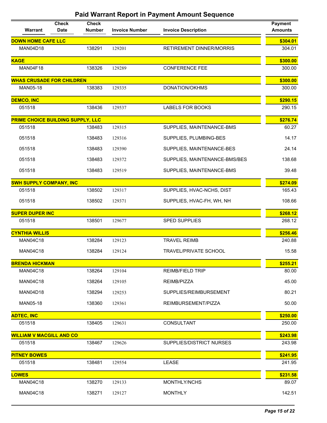| Warrant                           | <b>Check</b><br><b>Date</b> | <b>Check</b><br><b>Number</b> | <b>Invoice Number</b> | <b>Invoice Description</b>      | <b>Payment</b><br><b>Amounts</b> |
|-----------------------------------|-----------------------------|-------------------------------|-----------------------|---------------------------------|----------------------------------|
| <b>DOWN HOME CAFE LLC</b>         |                             |                               |                       |                                 | \$304.01                         |
| <b>MAN04D18</b>                   |                             | 138291                        | 129201                | <b>RETIREMENT DINNER/MORRIS</b> | 304.01                           |
| <b>KAGE</b>                       |                             |                               |                       |                                 | \$300.00                         |
| MAN04F18                          |                             | 138326                        | 129289                | <b>CONFERENCE FEE</b>           | 300.00                           |
| <b>WHAS CRUSADE FOR CHILDREN</b>  |                             |                               |                       |                                 | \$300.00                         |
| MAN05-18                          |                             | 138383                        | 129335                | DONATION/OKHMS                  | 300.00                           |
| <b>DEMCO, INC</b>                 |                             |                               |                       |                                 | \$290.15                         |
| 051518                            |                             | 138436                        | 129537                | LABELS FOR BOOKS                | 290.15                           |
| PRIME CHOICE BUILDING SUPPLY, LLC |                             |                               |                       |                                 | \$276.74                         |
| 051518                            |                             | 138483                        | 129315                | SUPPLIES, MAINTENANCE-BMS       | 60.27                            |
| 051518                            |                             | 138483                        | 129316                | SUPPLIES, PLUMBING-BES          | 14.17                            |
| 051518                            |                             | 138483                        | 129390                | SUPPLIES, MAINTENANCE-BES       | 24.14                            |
| 051518                            |                             | 138483                        | 129372                | SUPPLIES, MAINTENANCE-BMS/BES   | 138.68                           |
| 051518                            |                             | 138483                        | 129519                | SUPPLIES, MAINTENANCE-BMS       | 39.48                            |
| <b>SWH SUPPLY COMPANY, INC</b>    |                             |                               |                       |                                 | \$274.09                         |
| 051518                            |                             | 138502                        | 129317                | SUPPLIES, HVAC-NCHS, DIST       | 165.43                           |
| 051518                            |                             | 138502                        | 129371                | SUPPLIES, HVAC-FH, WH, NH       | 108.66                           |
| <b>SUPER DUPER INC</b>            |                             |                               |                       |                                 | \$268.12                         |
| 051518                            |                             | 138501                        | 129677                | SPED SUPPLIES                   | 268.12                           |
| <b>CYNTHIA WILLIS</b>             |                             |                               |                       |                                 | \$256.46                         |
| <b>MAN04C18</b>                   |                             | 138284                        | 129123                | <b>TRAVEL REIMB</b>             | 240.88                           |
| <b>MAN04C18</b>                   |                             | 138284                        | 129124                | <b>TRAVEL/PRIVATE SCHOOL</b>    | 15.58                            |
| <b>BRENDA HICKMAN</b>             |                             |                               |                       |                                 | \$255.21                         |
| <b>MAN04C18</b>                   |                             | 138264                        | 129104                | <b>REIMB/FIELD TRIP</b>         | 80.00                            |
| <b>MAN04C18</b>                   |                             | 138264                        | 129105                | REIMB/PIZZA                     | 45.00                            |
| <b>MAN04D18</b>                   |                             | 138294                        | 129253                | SUPPLIES/REIMBURSEMENT          | 80.21                            |
| <b>MAN05-18</b>                   |                             | 138360                        | 129361                | REIMBURSEMENT/PIZZA             | 50.00                            |
| <b>ADTEC, INC</b>                 |                             |                               |                       |                                 | \$250.00                         |
| 051518                            |                             | 138405                        | 129631                | CONSULTANT                      | 250.00                           |
| <b>WILLIAM V MACGILL AND CO</b>   |                             |                               |                       |                                 | \$243.98                         |
| 051518                            |                             | 138467                        | 129626                | <b>SUPPLIES/DISTRICT NURSES</b> | 243.98                           |
| <b>PITNEY BOWES</b>               |                             |                               |                       |                                 | \$241.95                         |
| 051518                            |                             | 138481                        | 129554                | <b>LEASE</b>                    | 241.95                           |
| <b>LOWES</b>                      |                             |                               |                       |                                 | \$231.58                         |
| <b>MAN04C18</b>                   |                             | 138270                        | 129133                | MONTHLY/NCHS                    | 89.07                            |
| <b>MAN04C18</b>                   |                             | 138271                        | 129127                | <b>MONTHLY</b>                  | 142.51                           |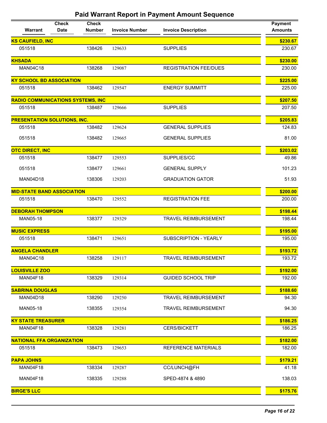| Warrant                                  | <b>Check</b><br><b>Date</b> | <b>Check</b><br><b>Number</b> | <b>Invoice Number</b> | <b>Invoice Description</b>   | <b>Payment</b><br><b>Amounts</b> |
|------------------------------------------|-----------------------------|-------------------------------|-----------------------|------------------------------|----------------------------------|
| <b>KS CAUFIELD, INC</b>                  |                             |                               |                       |                              | \$230.67                         |
| 051518                                   |                             | 138426                        | 129633                | <b>SUPPLIES</b>              | 230.67                           |
| <b>KHSADA</b>                            |                             |                               |                       |                              | \$230.00                         |
| <b>MAN04C18</b>                          |                             | 138268                        | 129087                | <b>REGISTRATION FEE/DUES</b> | 230.00                           |
| <b>KY SCHOOL BD ASSOCIATION</b>          |                             |                               |                       |                              | \$225.00                         |
| 051518                                   |                             | 138462                        | 129547                | <b>ENERGY SUMMITT</b>        | 225.00                           |
| <b>RADIO COMMUNICATIONS SYSTEMS, INC</b> |                             |                               |                       |                              | \$207.50                         |
| 051518                                   |                             | 138487                        | 129666                | <b>SUPPLIES</b>              | 207.50                           |
| <b>PRESENTATION SOLUTIONS, INC.</b>      |                             |                               |                       |                              | \$205.83                         |
| 051518                                   |                             | 138482                        | 129624                | <b>GENERAL SUPPLIES</b>      | 124.83                           |
| 051518                                   |                             | 138482                        | 129665                | <b>GENERAL SUPPLIES</b>      | 81.00                            |
| <b>OTC DIRECT, INC</b>                   |                             |                               |                       |                              | \$203.02                         |
| 051518                                   |                             | 138477                        | 129553                | SUPPLIES/CC                  | 49.86                            |
| 051518                                   |                             | 138477                        | 129661                | <b>GENERAL SUPPLY</b>        | 101.23                           |
| <b>MAN04D18</b>                          |                             | 138306                        | 129203                | <b>GRADUATION GATOR</b>      | 51.93                            |
| <b>MID-STATE BAND ASSOCIATION</b>        |                             |                               |                       |                              | \$200.00                         |
| 051518                                   |                             | 138470                        | 129552                | <b>REGISTRATION FEE</b>      | 200.00                           |
| <b>DEBORAH THOMPSON</b>                  |                             |                               |                       |                              | \$198.44                         |
| MAN05-18                                 |                             | 138377                        | 129329                | <b>TRAVEL REIMBURSEMENT</b>  | 198.44                           |
| <b>MUSIC EXPRESS</b>                     |                             |                               |                       |                              | \$195.00                         |
| 051518                                   |                             | 138471                        | 129651                | SUBSCRIPTION - YEARLY        | 195.00                           |
| <b>ANGELA CHANDLER</b>                   |                             |                               |                       |                              | \$193.72                         |
| <b>MAN04C18</b>                          |                             | 138258                        | 129117                | TRAVEL REIMBURSEMENT         | 193.72                           |
| <b>LOUISVILLE ZOO</b>                    |                             |                               |                       |                              | \$192.00                         |
| MAN04F18                                 |                             | 138329                        | 129314                | <b>GUIDED SCHOOL TRIP</b>    | 192.00                           |
| <b>SABRINA DOUGLAS</b>                   |                             |                               |                       |                              | \$188.60                         |
| MAN04D18                                 |                             | 138290                        | 129250                | <b>TRAVEL REIMBURSEMENT</b>  | 94.30                            |
| MAN05-18                                 |                             | 138355                        | 129354                | <b>TRAVEL REIMBURSEMENT</b>  | 94.30                            |
| <b>KY STATE TREASURER</b>                |                             |                               |                       |                              | \$186.25                         |
| MAN04F18                                 |                             | 138328                        | 129281                | CERS/BICKETT                 | 186.25                           |
| <b>NATIONAL FFA ORGANIZATION</b>         |                             |                               |                       |                              | \$182.00                         |
| 051518                                   |                             | 138473                        | 129653                | REFERENCE MATERIALS          | 182.00                           |
| <b>PAPA JOHNS</b>                        |                             |                               |                       |                              | \$179.21                         |
| MAN04F18                                 |                             | 138334                        | 129287                | CC/LUNCH@FH                  | 41.18                            |
| MAN04F18                                 |                             | 138335                        | 129288                | SPED-4874 & 4890             | 138.03                           |
| <b>BIRGE'S LLC</b>                       |                             |                               |                       |                              | \$175.76                         |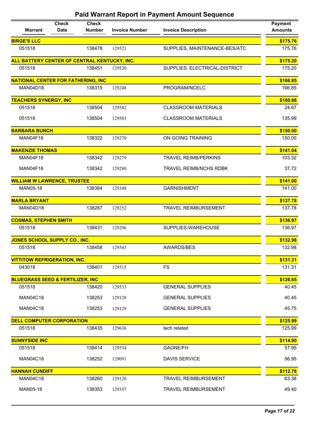| Warrant                                      | <b>Check</b><br><b>Date</b> | <b>Check</b><br>Number | <b>Invoice Number</b> | <b>Invoice Description</b>    | <b>Payment</b><br><b>Amounts</b> |
|----------------------------------------------|-----------------------------|------------------------|-----------------------|-------------------------------|----------------------------------|
| <b>BIRGE'S LLC</b>                           |                             |                        |                       |                               | \$175.76                         |
| 051518                                       |                             | 138478                 | 129521                | SUPPLIES, MAINTENANCE-BES/ATC | 175.76                           |
| ALL BATTERY CENTER OF CENTRAL KENTUCKY, INC. |                             |                        |                       |                               | \$175.20                         |
| 051518                                       |                             | 138451                 | 129520                | SUPPLIES, ELECTRICAL-DISTRICT | 175.20                           |
| <b>NATIONAL CENTER FOR FATHERING, INC</b>    |                             |                        |                       |                               | \$166.85                         |
| <b>MAN04D18</b>                              |                             | 138315                 | 129248                | PROGRAM/NCELC                 | 166.85                           |
| <b>TEACHERS SYNERGY, INC</b>                 |                             |                        |                       |                               | \$160.66                         |
| 051518                                       |                             | 138504                 | 129582                | <b>CLASSROOM MATERIALS</b>    | 24.67                            |
| 051518                                       |                             | 138504                 | 129583                | <b>CLASSROOM MATERIALS</b>    | 135.99                           |
| <b>BARBARA BUNCH</b>                         |                             |                        |                       |                               | \$150.00                         |
| MAN04F18                                     |                             | 138322                 | 129270                | ON GOING TRAINING             | 150.00                           |
| <b>MAKENZIE THOMAS</b>                       |                             |                        |                       |                               | \$141.04                         |
| MAN04F18                                     |                             | 138342                 | 129279                | <b>TRAVEL REIMB/PERKINS</b>   | 103.32                           |
| MAN04F18                                     |                             | 138342                 | 129280                | <b>TRAVEL REIMB/NCHS RDBK</b> | 37.72                            |
| <b>WILLIAM W LAWRENCE, TRUSTEE</b>           |                             |                        |                       |                               | \$141.00                         |
| MAN05-18                                     |                             | 138384                 | 129348                | <b>GARNISHMENT</b>            | 141.00                           |
| <b>MARLA BRYANT</b>                          |                             |                        |                       |                               | \$137.78                         |
| <b>MAN04D18</b>                              |                             | 138287                 | 129252                | TRAVEL REIMBURSEMENT          | 137.78                           |
| <b>COSMAS, STEPHEN SMITH</b>                 |                             |                        |                       |                               | \$136.97                         |
| 051518                                       |                             | 138431                 | 129296                | SUPPLIES-WAREHOUSE            | 136.97                           |
| JONES SCHOOL SUPPLY CO., INC.                |                             |                        |                       |                               | \$132.98                         |
| 051518                                       |                             | 138458                 | 129543                | AWARDS/BES                    | 132.98                           |
| <b>VITTITOW REFRIGERATION, INC.</b>          |                             |                        |                       |                               | \$131.31                         |
| 043018                                       |                             | 138401                 | 129515                | <b>FS</b>                     | 131.31                           |
| <b>BLUEGRASS SEED &amp; FERTILIZER, INC</b>  |                             |                        |                       |                               | \$126.65                         |
| 051518                                       |                             | 138420                 | 129533                | <b>GENERAL SUPPLIES</b>       | 40.45                            |
| <b>MAN04C18</b>                              |                             | 138253                 | 129128                | <b>GENERAL SUPPLIES</b>       | 40.45                            |
| <b>MAN04C18</b>                              |                             | 138253                 | 129129                | <b>GENERAL SUPPLIES</b>       | 45.75                            |
| <b>DELL COMPUTER CORPORATION</b>             |                             |                        |                       |                               | \$125.99                         |
| 051518                                       |                             | 138435                 | 129636                | tech related                  | 125.99                           |
| <b>SUNNYSIDE INC</b>                         |                             |                        |                       |                               | \$114.90                         |
| 051518                                       |                             | 138414                 | 129534                | <b>GAGNE/FH</b>               | 57.95                            |
| <b>MAN04C18</b>                              |                             | 138252                 | 129091                | <b>DAVIS SERVICE</b>          | 56.95                            |
| <b>HANNAH CUNDIFF</b>                        |                             |                        |                       |                               | \$112.78                         |
| <b>MAN04C18</b>                              |                             | 138260                 | 129120                | <b>TRAVEL REIMBURSEMENT</b>   | 63.38                            |
| MAN05-18                                     |                             | 138353                 | 129357                | <b>TRAVEL REIMBURSEMENT</b>   | 49.40                            |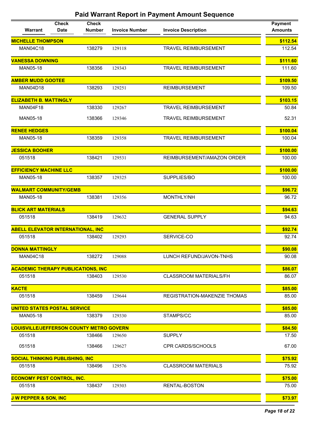|                                                 | <b>Check</b> | <b>Check</b>  |                       |                               | <b>Payment</b>   |
|-------------------------------------------------|--------------|---------------|-----------------------|-------------------------------|------------------|
| Warrant                                         | <b>Date</b>  | <b>Number</b> | <b>Invoice Number</b> | <b>Invoice Description</b>    | <b>Amounts</b>   |
| <b>MICHELLE THOMPSON</b>                        |              |               |                       |                               | \$112.54         |
| <b>MAN04C18</b>                                 |              | 138279        | 129118                | <b>TRAVEL REIMBURSEMENT</b>   | 112.54           |
| <b>VANESSA DOWNING</b>                          |              |               |                       |                               | \$111.60         |
| MAN05-18                                        |              | 138356        | 129343                | <b>TRAVEL REIMBURSEMENT</b>   | 111.60           |
| <b>AMBER MUDD GOOTEE</b>                        |              |               |                       |                               | \$109.50         |
| <b>MAN04D18</b>                                 |              | 138293        | 129251                | <b>REIMBURSEMENT</b>          | 109.50           |
| <b>ELIZABETH B. MATTINGLY</b>                   |              |               |                       |                               | \$103.15         |
| <b>MAN04F18</b>                                 |              | 138330        | 129267                | <b>TRAVEL REIMBURSEMENT</b>   | 50.84            |
| <b>MAN05-18</b>                                 |              | 138366        | 129346                | <b>TRAVEL REIMBURSEMENT</b>   | 52.31            |
| <b>RENEE HEDGES</b>                             |              |               |                       |                               | \$100.04         |
| MAN05-18                                        |              | 138359        | 129358                | <b>TRAVEL REIMBURSEMENT</b>   | 100.04           |
| <b>JESSICA BOOHER</b>                           |              |               |                       |                               | \$100.00         |
| 051518                                          |              | 138421        | 129531                | REIMBURSEMENT/AMAZON ORDER    | 100.00           |
| <b>EFFICIENCY MACHINE LLC</b>                   |              |               |                       |                               | \$100.00         |
| MAN05-18                                        |              | 138357        | 129325                | SUPPLIES/BO                   | 100.00           |
|                                                 |              |               |                       |                               | \$96.72          |
| <b>WALMART COMMUNITY/GEMB</b><br>MAN05-18       |              | 138381        | 129356                | MONTHLY/NH                    | 96.72            |
|                                                 |              |               |                       |                               |                  |
| <b>BLICK ART MATERIALS</b><br>051518            |              | 138419        |                       | <b>GENERAL SUPPLY</b>         | \$94.63<br>94.63 |
|                                                 |              |               | 129632                |                               |                  |
| <b>ABELL ELEVATOR INTERNATIONAL, INC</b>        |              |               |                       |                               | \$92.74          |
| 051518                                          |              | 138402        | 129293                | SERVICE-CO                    | 92.74            |
| <b>DONNA MATTINGLY</b>                          |              |               |                       |                               | \$90.08          |
| <b>MAN04C18</b>                                 |              | 138272        | 129088                | LUNCH REFUND/JAVON-TNHS       | 90.08            |
| <b>ACADEMIC THERAPY PUBLICATIONS, INC</b>       |              |               |                       |                               | \$86.07          |
| 051518                                          |              | 138403        | 129530                | <b>CLASSROOM MATERIALS/FH</b> | 86.07            |
| <b>KACTE</b>                                    |              |               |                       |                               | \$85.00          |
| 051518                                          |              | 138459        | 129644                | REGISTRATION-MAKENZIE THOMAS  | 85.00            |
| <b>UNITED STATES POSTAL SERVICE</b>             |              |               |                       |                               | \$85.00          |
| MAN05-18                                        |              | 138379        | 129330                | STAMPS/CC                     | 85.00            |
| <b>LOUISVILLE/JEFFERSON COUNTY METRO GOVERN</b> |              |               |                       |                               | \$84.50          |
| 051518                                          |              | 138466        | 129650                | <b>SUPPLY</b>                 | 17.50            |
| 051518                                          |              | 138466        | 129627                | <b>CPR CARDS/SCHOOLS</b>      | 67.00            |
| <b>SOCIAL THINKING PUBLISHING, INC</b>          |              |               |                       |                               | \$75.92          |
| 051518                                          |              | 138496        | 129576                | <b>CLASSROOM MATERIALS</b>    | 75.92            |
| <b>ECONOMY PEST CONTROL, INC.</b>               |              |               |                       |                               | \$75.00          |
| 051518                                          |              | 138437        | 129303                | RENTAL-BOSTON                 | 75.00            |
| <b>J W PEPPER &amp; SON, INC</b>                |              |               |                       |                               | \$73.97          |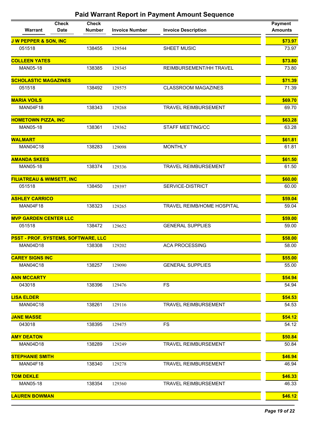| Warrant                              | <b>Check</b><br><b>Date</b> | <b>Check</b><br><b>Number</b> | <b>Invoice Number</b> | <b>Invoice Description</b>  | <b>Payment</b><br><b>Amounts</b> |
|--------------------------------------|-----------------------------|-------------------------------|-----------------------|-----------------------------|----------------------------------|
| <b>J W PEPPER &amp; SON, INC</b>     |                             |                               |                       |                             | \$73.97                          |
| 051518                               |                             | 138455                        | 129544                | SHEET MUSIC                 | 73.97                            |
| <b>COLLEEN YATES</b>                 |                             |                               |                       |                             | \$73.80                          |
| MAN05-18                             |                             | 138385                        | 129345                | REIMBURSEMENT/HH TRAVEL     | 73.80                            |
| <b>SCHOLASTIC MAGAZINES</b>          |                             |                               |                       |                             | \$71.39                          |
| 051518                               |                             | 138492                        | 129575                | <b>CLASSROOM MAGAZINES</b>  | 71.39                            |
| <b>MARIA VOILS</b>                   |                             |                               |                       |                             | \$69.70                          |
| MAN04F18                             |                             | 138343                        | 129268                | <b>TRAVEL REIMBURSEMENT</b> | 69.70                            |
| <b>HOMETOWN PIZZA, INC</b>           |                             |                               |                       |                             | \$63.28                          |
| MAN05-18                             |                             | 138361                        | 129362                | <b>STAFF MEETING/CC</b>     | 63.28                            |
| <b>WALMART</b>                       |                             |                               |                       |                             | \$61.81                          |
| <b>MAN04C18</b>                      |                             | 138283                        | 129098                | <b>MONTHLY</b>              | 61.81                            |
| <b>AMANDA SKEES</b>                  |                             |                               |                       |                             | \$61.50                          |
| MAN05-18                             |                             | 138374                        | 129336                | <b>TRAVEL REIMBURSEMENT</b> | 61.50                            |
| <b>FILIATREAU &amp; WIMSETT, INC</b> |                             |                               |                       |                             | \$60.00                          |
| 051518                               |                             | 138450                        | 129397                | SERVICE-DISTRICT            | 60.00                            |
| <b>ASHLEY CARRICO</b>                |                             |                               |                       |                             | \$59.04                          |
| MAN04F18                             |                             | 138323                        | 129265                | TRAVEL REIMB/HOME HOSPITAL  | 59.04                            |
| <b>MVP GARDEN CENTER LLC</b>         |                             |                               |                       |                             | \$59.00                          |
| 051518                               |                             | 138472                        | 129652                | <b>GENERAL SUPPLIES</b>     | 59.00                            |
| PSST - PROF. SYSTEMS, SOFTWARE, LLC  |                             |                               |                       |                             | \$58.00                          |
| <b>MAN04D18</b>                      |                             | 138308                        | 129202                | <b>ACA PROCESSING</b>       | 58.00                            |
| <b>CAREY SIGNS INC</b>               |                             |                               |                       |                             | \$55.00                          |
| <b>MAN04C18</b>                      |                             | 138257                        | 129090                | <b>GENERAL SUPPLIES</b>     | 55.00                            |
| <b>ANN MCCARTY</b>                   |                             |                               |                       |                             | \$54.94                          |
| 043018                               |                             | 138396                        | 129476                | <b>FS</b>                   | 54.94                            |
| <b>LISA ELDER</b>                    |                             |                               |                       |                             | \$54.53                          |
| <b>MAN04C18</b>                      |                             | 138261                        | 129116                | <b>TRAVEL REIMBURSEMENT</b> | 54.53                            |
| <b>JANE MASSE</b>                    |                             |                               |                       |                             | \$54.12                          |
| 043018                               |                             | 138395                        | 129475                | FS                          | 54.12                            |
| <b>AMY DEATON</b>                    |                             |                               |                       |                             | \$50.84                          |
| MAN04D18                             |                             | 138289                        | 129249                | <b>TRAVEL REIMBURSEMENT</b> | 50.84                            |
| <b>STEPHANIE SMITH</b>               |                             |                               |                       |                             | \$46.94                          |
| MAN04F18                             |                             | 138340                        | 129278                | <b>TRAVEL REIMBURSEMENT</b> | 46.94                            |
| <b>TOM DEKLE</b>                     |                             |                               |                       |                             | \$46.33                          |
| MAN05-18                             |                             | 138354                        | 129360                | <b>TRAVEL REIMBURSEMENT</b> | 46.33                            |
| <b>LAUREN BOWMAN</b>                 |                             |                               |                       |                             | \$46.12                          |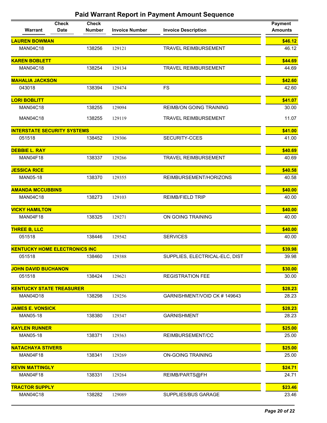| Warrant                              | <b>Check</b><br><b>Date</b> | <b>Check</b><br><b>Number</b> | <b>Invoice Number</b> | <b>Invoice Description</b>     | <b>Payment</b><br><b>Amounts</b> |
|--------------------------------------|-----------------------------|-------------------------------|-----------------------|--------------------------------|----------------------------------|
| <b>LAUREN BOWMAN</b>                 |                             |                               |                       |                                | \$46.12                          |
| <b>MAN04C18</b>                      |                             | 138256                        | 129121                | <b>TRAVEL REIMBURSEMENT</b>    | 46.12                            |
| <b>KAREN BOBLETT</b>                 |                             |                               |                       |                                | \$44.69                          |
| <b>MAN04C18</b>                      |                             | 138254                        | 129134                | <b>TRAVEL REIMBURSEMENT</b>    | 44.69                            |
| <b>MAHALIA JACKSON</b>               |                             |                               |                       |                                | \$42.60                          |
| 043018                               |                             | 138394                        | 129474                | <b>FS</b>                      | 42.60                            |
| <b>LORI BOBLITT</b>                  |                             |                               |                       |                                | \$41.07                          |
| <b>MAN04C18</b>                      |                             | 138255                        | 129094                | <b>REIMB/ON GOING TRAINING</b> | 30.00                            |
| <b>MAN04C18</b>                      |                             | 138255                        | 129119                | <b>TRAVEL REIMBURSEMENT</b>    | 11.07                            |
| <b>INTERSTATE SECURITY SYSTEMS</b>   |                             |                               |                       |                                | \$41.00                          |
| 051518                               |                             | 138452                        | 129306                | SECURITY-CCES                  | 41.00                            |
| <b>DEBBIE L. RAY</b>                 |                             |                               |                       |                                | \$40.69                          |
| MAN04F18                             |                             | 138337                        | 129266                | <b>TRAVEL REIMBURSEMENT</b>    | 40.69                            |
| <b>JESSICA RICE</b>                  |                             |                               |                       |                                | \$40.58                          |
| <b>MAN05-18</b>                      |                             | 138370                        | 129355                | REIMBURSEMENT/HORIZONS         | 40.58                            |
| <b>AMANDA MCCUBBINS</b>              |                             |                               |                       |                                | \$40.00                          |
| <b>MAN04C18</b>                      |                             | 138273                        | 129103                | <b>REIMB/FIELD TRIP</b>        | 40.00                            |
| <b>VICKY HAMILTON</b>                |                             |                               |                       |                                | \$40.00                          |
| MAN04F18                             |                             | 138325                        | 129271                | ON GOING TRAINING              | 40.00                            |
| <b>THREE B, LLC</b>                  |                             |                               |                       |                                | \$40.00                          |
| 051518                               |                             | 138446                        | 129542                | <b>SERVICES</b>                | 40.00                            |
| <b>KENTUCKY HOME ELECTRONICS INC</b> |                             |                               |                       |                                | \$39.98                          |
| 051518                               |                             | 138460                        | 129388                | SUPPLIES, ELECTRICAL-ELC, DIST | 39.98                            |
| <b>JOHN DAVID BUCHANON</b>           |                             |                               |                       |                                | \$30.00                          |
| 051518                               |                             | 138424                        | 129621                | <b>REGISTRATION FEE</b>        | 30.00                            |
| <b>KENTUCKY STATE TREASURER</b>      |                             |                               |                       |                                | \$28.23                          |
| <b>MAN04D18</b>                      |                             | 138298                        | 129256                | GARNISHMENT/VOID CK #149643    | 28.23                            |
| <b>JAMES E. VONSICK</b>              |                             |                               |                       |                                | \$28.23                          |
| MAN05-18                             |                             | 138380                        | 129347                | <b>GARNISHMENT</b>             | 28.23                            |
| <b>KAYLEN RUNNER</b>                 |                             |                               |                       |                                | \$25.00                          |
| <b>MAN05-18</b>                      |                             | 138371                        | 129363                | REIMBURSEMENT/CC               | 25.00                            |
| <b>NATACHAYA STIVERS</b>             |                             |                               |                       |                                | \$25.00                          |
| MAN04F18                             |                             | 138341                        | 129269                | <b>ON-GOING TRAINING</b>       | 25.00                            |
| <b>KEVIN MATTINGLY</b>               |                             |                               |                       |                                | \$24.71                          |
| MAN04F18                             |                             | 138331                        | 129264                | REIMB/PARTS@FH                 | 24.71                            |
| <b>TRACTOR SUPPLY</b>                |                             |                               |                       |                                | \$23.46                          |
| <b>MAN04C18</b>                      |                             | 138282                        | 129089                | SUPPLIES/BUS GARAGE            | 23.46                            |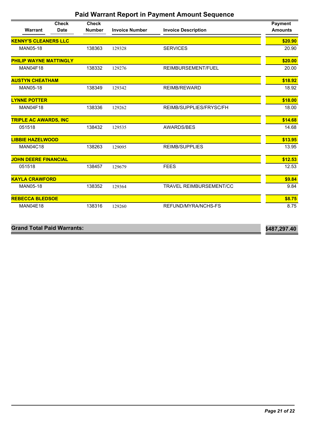|                               | <b>Check</b> | <b>Check</b>  |                       |                                | <b>Payment</b> |
|-------------------------------|--------------|---------------|-----------------------|--------------------------------|----------------|
| <b>Warrant</b>                | <b>Date</b>  | <b>Number</b> | <b>Invoice Number</b> | <b>Invoice Description</b>     | <b>Amounts</b> |
| <b>KENNY'S CLEANERS LLC</b>   |              |               |                       |                                | \$20.90        |
| MAN05-18                      |              | 138363        | 129328                | <b>SERVICES</b>                | 20.90          |
| <b>PHILIP WAYNE MATTINGLY</b> |              |               |                       |                                | \$20.00        |
| <b>MAN04F18</b>               |              | 138332        | 129276                | REIMBURSEMENT/FUEL             | 20.00          |
| <b>AUSTYN CHEATHAM</b>        |              |               |                       |                                | \$18.92        |
| MAN05-18                      |              | 138349        | 129342                | <b>REIMB/REWARD</b>            | 18.92          |
| <b>LYNNE POTTER</b>           |              |               |                       |                                | \$18.00        |
| <b>MAN04F18</b>               |              | 138336        | 129262                | REIMB/SUPPLIES/FRYSC/FH        | 18.00          |
| <b>TRIPLE AC AWARDS, INC</b>  |              |               |                       |                                | \$14.68        |
| 051518                        |              | 138432        | 129535                | AWARDS/BES                     | 14.68          |
| <b>LIBBIE HAZELWOOD</b>       |              |               |                       |                                | \$13.95        |
| <b>MAN04C18</b>               |              | 138263        | 129095                | <b>REIMB/SUPPLIES</b>          | 13.95          |
| <b>JOHN DEERE FINANCIAL</b>   |              |               |                       |                                | \$12.53        |
| 051518                        |              | 138457        | 129679                | <b>FEES</b>                    | 12.53          |
| <b>KAYLA CRAWFORD</b>         |              |               |                       |                                | \$9.84         |
| MAN05-18                      |              | 138352        | 129364                | <b>TRAVEL REIMBURSEMENT/CC</b> | 9.84           |
| <b>REBECCA BLEDSOE</b>        |              |               |                       |                                | \$8.75         |
| <b>MAN04E18</b>               |              | 138316        | 129260                | REFUND/MYRA/NCHS-FS            | 8.75           |

| <b>Grand Total Paid Warrants:</b> | \$487,297.40 |
|-----------------------------------|--------------|
|                                   |              |